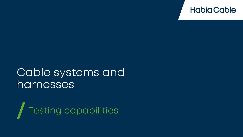

### Cable systems and harnesses

Testing capabilities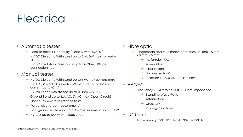# Electrical

#### • Automatic tester

- − Point to point + Continuity (2 and 4-wire) (4V DC)
- − HV DC Dielectric Withstand up to 2kV, DW max current 1,5mA
- − HV DC Insulation Resistance up to 1GOhm, 120s per connection net

#### • Manual tester

- − HV DC Dielectric Withstand up to 6kV, max current 11mA
- − HV AC (50 60Hz) Dielectric Withstand up to 5kV, max current up to 42mA
- − HV Insulation Resistance up to 1TOhm, 5kV DC
- − Ground Bond up to 32A AC, 6V AC max (Open Circuit)
- − Continuity 4-wire resistance tests
- − Partial discharge measurement\*
- − Background noise round 2 pC measurement up tp 50kV\*
- − HV test up to 100 kV with step 200V\*
- Fibre optic
	- − Singlemode and Multimode, core sizes 1.25 mm, 1.6 mm, 2.0 mm, 2.5 mm:
		- $\rightarrow$  PC ferrule: ROC
		- $\rightarrow$  Apex Offset
		- $\rightarrow$  Fiber Height
		- $\rightarrow$  Back reflection\*
		- $\rightarrow$  Insertion Loss @ 850nm, 1300nm\*\*
- RF test
	- − Frequency 100kHz to 3.6 GHz, 50 Ohm Impedance:
		- $\rightarrow$  Standing Wave Ratio
		- $\rightarrow$  Attenuation
		- $\rightarrow$  Crosstalk
		- $\rightarrow$  Propagation time
- LCR test
	- − At frequency 100Hz/120Hz/1kHz/10kHz/100kHz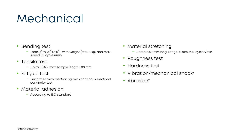# Mechanical

- Bending test
	- − From 0° to 90° to 0° with weight (max 5 kg) and max speed 30 cycles/min
- Tensile test
	- − Up to 10kN max sample length 500 mm
- Fatigue test
	- − Performed with rotation rig, with continous electrical continuity test
- Material adhesion
	- − According to ISO standard
- Material stretching
	- − Sample 50 mm long, range 10 mm, 200 cycles/min
- Roughness test
- Hardness test
- Vibration/mechanical shock\*
- Abrasion\*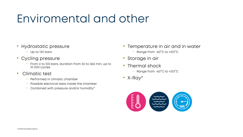### Enviromental and other

- Hydrostatic pressure
	- − Up to 130 bars
- Cycling pressure
	- − From 0 to 100 bars; duration from 50 to 360 min; up to 10 000 cycles
- Climatic test
	- − Performed in climatic chamber
	- − Possible electrical tests inside the chamber
	- − Combined with pressure and/or humidity\*
- Temperature in air and in water
	- − Range from -60°C to +210°C
- Storage in air
- Thermal shock
	- − Range from -60°C to +210°C
- X-Ray\*